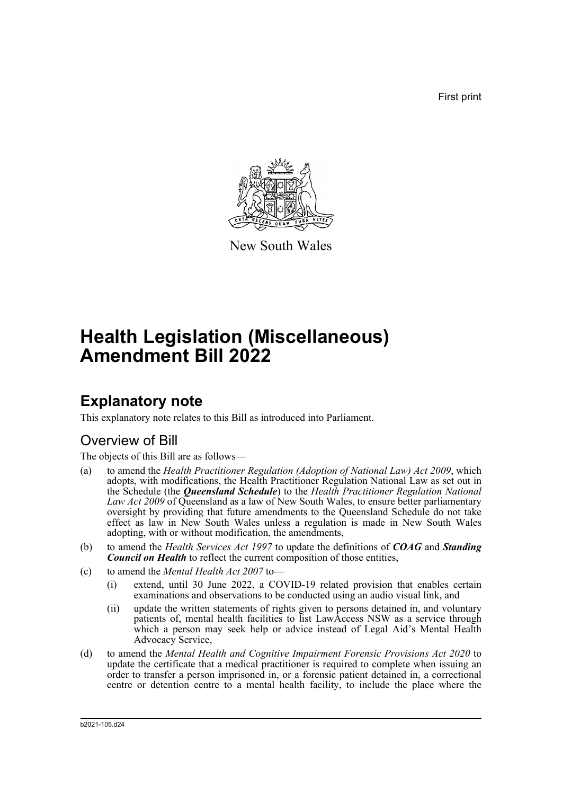First print



New South Wales

# **Health Legislation (Miscellaneous) Amendment Bill 2022**

## **Explanatory note**

This explanatory note relates to this Bill as introduced into Parliament.

## Overview of Bill

The objects of this Bill are as follows—

- (a) to amend the *Health Practitioner Regulation (Adoption of National Law) Act 2009*, which adopts, with modifications, the Health Practitioner Regulation National Law as set out in the Schedule (the *Queensland Schedule*) to the *Health Practitioner Regulation National Law Act 2009* of Queensland as a law of New South Wales, to ensure better parliamentary oversight by providing that future amendments to the Queensland Schedule do not take effect as law in New South Wales unless a regulation is made in New South Wales adopting, with or without modification, the amendments,
- (b) to amend the *Health Services Act 1997* to update the definitions of *COAG* and *Standing Council on Health* to reflect the current composition of those entities,
- (c) to amend the *Mental Health Act 2007* to—
	- (i) extend, until 30 June 2022, a COVID-19 related provision that enables certain examinations and observations to be conducted using an audio visual link, and
	- (ii) update the written statements of rights given to persons detained in, and voluntary patients of, mental health facilities to list LawAccess NSW as a service through which a person may seek help or advice instead of Legal Aid's Mental Health Advocacy Service,
- (d) to amend the *Mental Health and Cognitive Impairment Forensic Provisions Act 2020* to update the certificate that a medical practitioner is required to complete when issuing an order to transfer a person imprisoned in, or a forensic patient detained in, a correctional centre or detention centre to a mental health facility, to include the place where the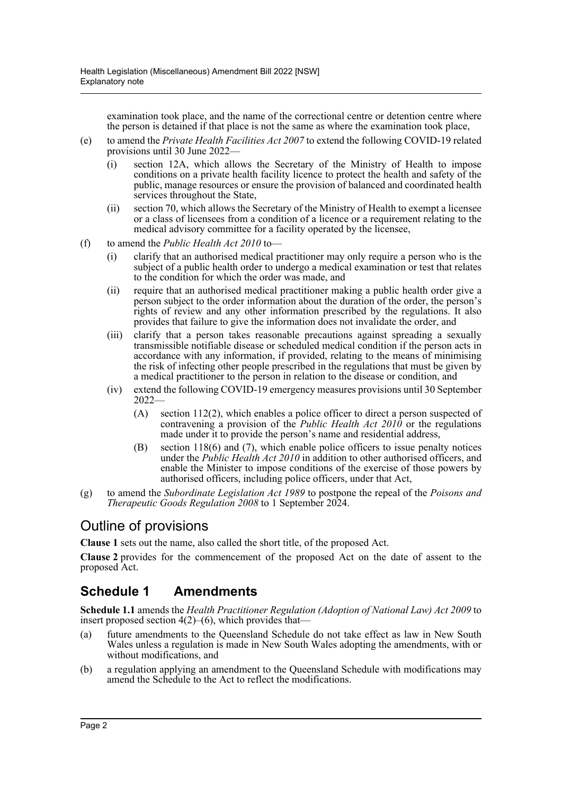examination took place, and the name of the correctional centre or detention centre where the person is detained if that place is not the same as where the examination took place,

- (e) to amend the *Private Health Facilities Act 2007* to extend the following COVID-19 related provisions until 30 June 2022—
	- (i) section 12A, which allows the Secretary of the Ministry of Health to impose conditions on a private health facility licence to protect the health and safety of the public, manage resources or ensure the provision of balanced and coordinated health services throughout the State,
	- (ii) section 70, which allows the Secretary of the Ministry of Health to exempt a licensee or a class of licensees from a condition of a licence or a requirement relating to the medical advisory committee for a facility operated by the licensee,
- (f) to amend the *Public Health Act 2010* to—
	- (i) clarify that an authorised medical practitioner may only require a person who is the subject of a public health order to undergo a medical examination or test that relates to the condition for which the order was made, and
	- (ii) require that an authorised medical practitioner making a public health order give a person subject to the order information about the duration of the order, the person's rights of review and any other information prescribed by the regulations. It also provides that failure to give the information does not invalidate the order, and
	- (iii) clarify that a person takes reasonable precautions against spreading a sexually transmissible notifiable disease or scheduled medical condition if the person acts in accordance with any information, if provided, relating to the means of minimising the risk of infecting other people prescribed in the regulations that must be given by a medical practitioner to the person in relation to the disease or condition, and
	- (iv) extend the following COVID-19 emergency measures provisions until 30 September 2022—
		- (A) section 112(2), which enables a police officer to direct a person suspected of contravening a provision of the *Public Health Act 2010* or the regulations made under it to provide the person's name and residential address,
		- (B) section 118(6) and (7), which enable police officers to issue penalty notices under the *Public Health Act 2010* in addition to other authorised officers, and enable the Minister to impose conditions of the exercise of those powers by authorised officers, including police officers, under that Act,
- (g) to amend the *Subordinate Legislation Act 1989* to postpone the repeal of the *Poisons and Therapeutic Goods Regulation 2008* to 1 September 2024.

### Outline of provisions

**Clause 1** sets out the name, also called the short title, of the proposed Act.

**Clause 2** provides for the commencement of the proposed Act on the date of assent to the proposed Act.

## **Schedule 1 Amendments**

**Schedule 1.1** amends the *Health Practitioner Regulation (Adoption of National Law) Act 2009* to insert proposed section  $4(2)$ – $(6)$ , which provides that—

- (a) future amendments to the Queensland Schedule do not take effect as law in New South Wales unless a regulation is made in New South Wales adopting the amendments, with or without modifications, and
- (b) a regulation applying an amendment to the Queensland Schedule with modifications may amend the Schedule to the Act to reflect the modifications.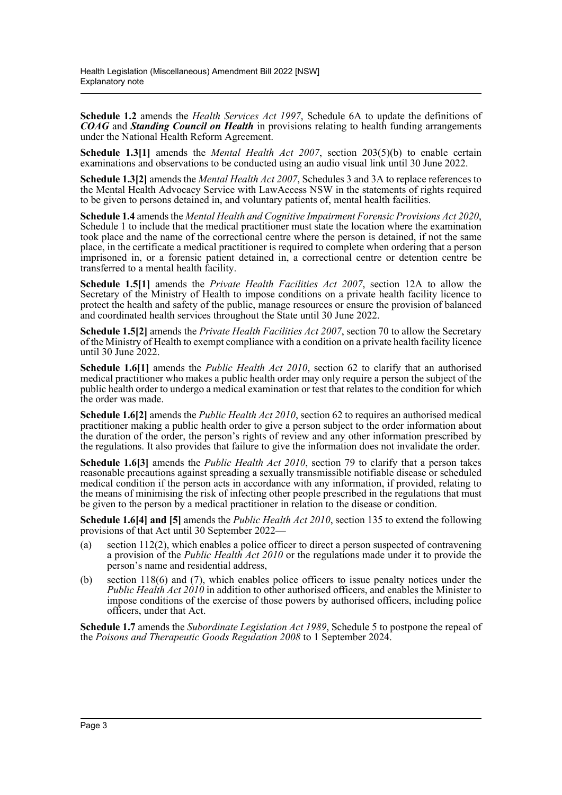**Schedule 1.2** amends the *Health Services Act 1997*, Schedule 6A to update the definitions of *COAG* and *Standing Council on Health* in provisions relating to health funding arrangements under the National Health Reform Agreement.

**Schedule 1.3[1]** amends the *Mental Health Act 2007*, section 203(5)(b) to enable certain examinations and observations to be conducted using an audio visual link until 30 June 2022.

**Schedule 1.3[2]** amends the *Mental Health Act 2007*, Schedules 3 and 3A to replace references to the Mental Health Advocacy Service with LawAccess NSW in the statements of rights required to be given to persons detained in, and voluntary patients of, mental health facilities.

**Schedule 1.4** amends the *Mental Health and Cognitive Impairment Forensic Provisions Act 2020*, Schedule 1 to include that the medical practitioner must state the location where the examination took place and the name of the correctional centre where the person is detained, if not the same place, in the certificate a medical practitioner is required to complete when ordering that a person imprisoned in, or a forensic patient detained in, a correctional centre or detention centre be transferred to a mental health facility.

**Schedule 1.5[1]** amends the *Private Health Facilities Act 2007*, section 12A to allow the Secretary of the Ministry of Health to impose conditions on a private health facility licence to protect the health and safety of the public, manage resources or ensure the provision of balanced and coordinated health services throughout the State until 30 June 2022.

**Schedule 1.5[2]** amends the *Private Health Facilities Act 2007*, section 70 to allow the Secretary of the Ministry of Health to exempt compliance with a condition on a private health facility licence until 30 June 2022.

**Schedule 1.6[1]** amends the *Public Health Act 2010*, section 62 to clarify that an authorised medical practitioner who makes a public health order may only require a person the subject of the public health order to undergo a medical examination or test that relates to the condition for which the order was made.

**Schedule 1.6[2]** amends the *Public Health Act 2010*, section 62 to requires an authorised medical practitioner making a public health order to give a person subject to the order information about the duration of the order, the person's rights of review and any other information prescribed by the regulations. It also provides that failure to give the information does not invalidate the order.

**Schedule 1.6[3]** amends the *Public Health Act 2010*, section 79 to clarify that a person takes reasonable precautions against spreading a sexually transmissible notifiable disease or scheduled medical condition if the person acts in accordance with any information, if provided, relating to the means of minimising the risk of infecting other people prescribed in the regulations that must be given to the person by a medical practitioner in relation to the disease or condition.

**Schedule 1.6[4] and [5]** amends the *Public Health Act 2010*, section 135 to extend the following provisions of that Act until 30 September 2022—

- (a) section 112(2), which enables a police officer to direct a person suspected of contravening a provision of the *Public Health Act 2010* or the regulations made under it to provide the person's name and residential address,
- (b) section 118(6) and (7), which enables police officers to issue penalty notices under the *Public Health Act 2010* in addition to other authorised officers, and enables the Minister to impose conditions of the exercise of those powers by authorised officers, including police officers, under that Act.

**Schedule 1.7** amends the *Subordinate Legislation Act 1989*, Schedule 5 to postpone the repeal of the *Poisons and Therapeutic Goods Regulation 2008* to 1 September 2024.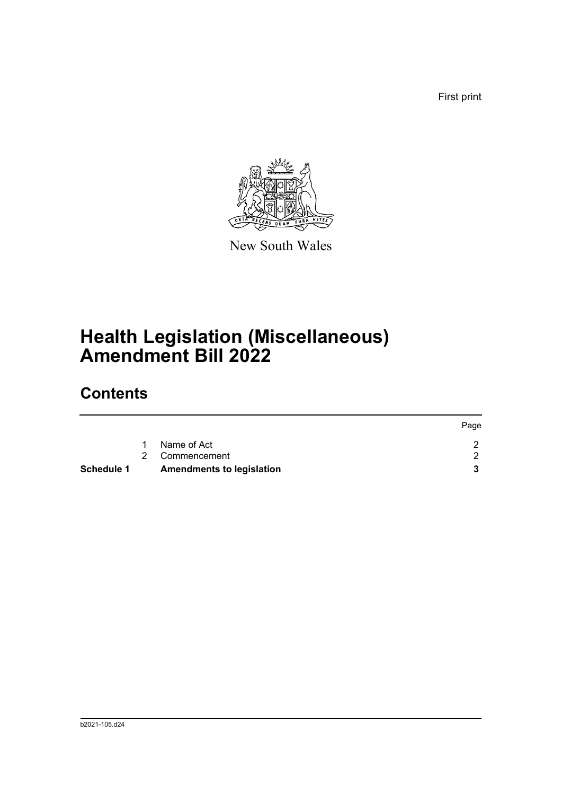First print



New South Wales

# **Health Legislation (Miscellaneous) Amendment Bill 2022**

# **Contents**

|                   |                                  | Page |
|-------------------|----------------------------------|------|
|                   | Name of Act                      |      |
|                   | 2 Commencement                   |      |
| <b>Schedule 1</b> | <b>Amendments to legislation</b> |      |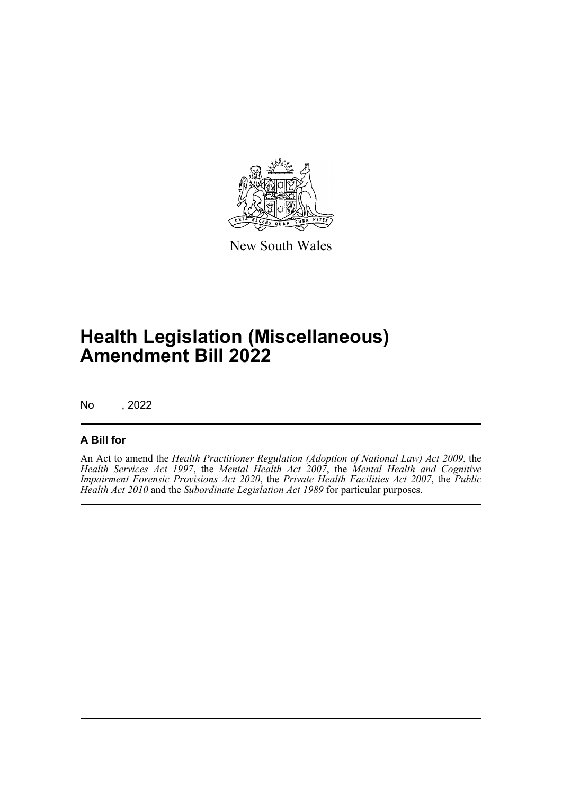

New South Wales

# **Health Legislation (Miscellaneous) Amendment Bill 2022**

No , 2022

### **A Bill for**

An Act to amend the *Health Practitioner Regulation (Adoption of National Law) Act 2009*, the *Health Services Act 1997*, the *Mental Health Act 2007*, the *Mental Health and Cognitive Impairment Forensic Provisions Act 2020*, the *Private Health Facilities Act 2007*, the *Public Health Act 2010* and the *Subordinate Legislation Act 1989* for particular purposes.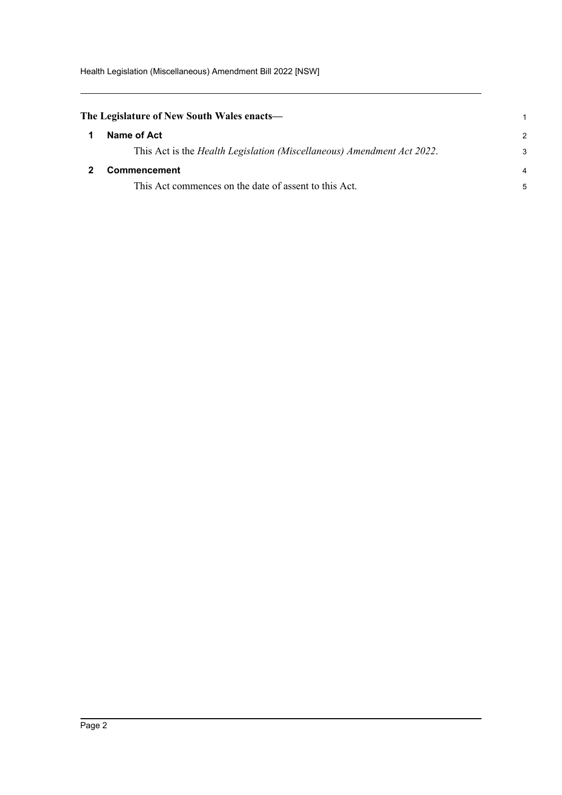Health Legislation (Miscellaneous) Amendment Bill 2022 [NSW]

<span id="page-5-1"></span><span id="page-5-0"></span>

| The Legislature of New South Wales enacts— |                                                                                |                         |
|--------------------------------------------|--------------------------------------------------------------------------------|-------------------------|
|                                            | Name of Act                                                                    | $\mathcal{P}$           |
|                                            | This Act is the <i>Health Legislation (Miscellaneous) Amendment Act 2022</i> . | 3                       |
|                                            | <b>Commencement</b>                                                            | $\overline{\mathbf{4}}$ |
|                                            | This Act commences on the date of assent to this Act.                          | 5                       |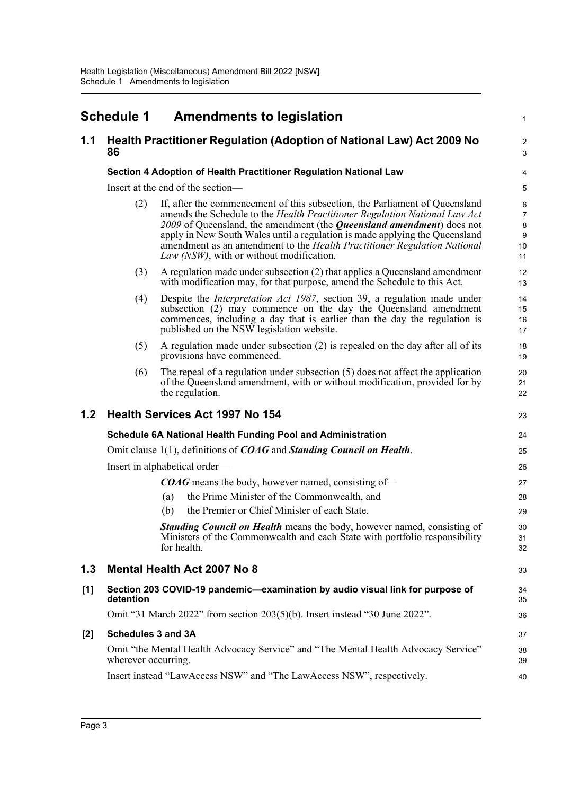## <span id="page-6-0"></span>**Schedule 1 Amendments to legislation**

### **1.1 Health Practitioner Regulation (Adoption of National Law) Act 2009 No 86**

#### **Section 4 Adoption of Health Practitioner Regulation National Law**

Insert at the end of the section—

(2) If, after the commencement of this subsection, the Parliament of Queensland amends the Schedule to the *Health Practitioner Regulation National Law Act 2009* of Queensland, the amendment (the *Queensland amendment*) does not apply in New South Wales until a regulation is made applying the Queensland amendment as an amendment to the *Health Practitioner Regulation National Law (NSW)*, with or without modification.

1

 $\overline{2}$ 3

30 31 32

33

38 39 40

- (3) A regulation made under subsection (2) that applies a Queensland amendment with modification may, for that purpose, amend the Schedule to this Act.
- (4) Despite the *Interpretation Act 1987*, section 39, a regulation made under subsection (2) may commence on the day the Queensland amendment commences, including a day that is earlier than the day the regulation is published on the NSW legislation website.
- (5) A regulation made under subsection (2) is repealed on the day after all of its provisions have commenced.
- (6) The repeal of a regulation under subsection (5) does not affect the application of the Queensland amendment, with or without modification, provided for by the regulation.

### **1.2 Health Services Act 1997 No 154**

| <b>Health Services Act 1997 No 154</b> |                                                                            | 23 |
|----------------------------------------|----------------------------------------------------------------------------|----|
|                                        | Schedule 6A National Health Funding Pool and Administration                | 24 |
|                                        | Omit clause $1(1)$ , definitions of $COAG$ and Standing Council on Health. | 25 |
| Insert in alphabetical order—          |                                                                            | 26 |
|                                        | <b>COAG</b> means the body, however named, consisting of-                  | 27 |
| (a)                                    | the Prime Minister of the Commonwealth, and                                | 28 |
| (b)                                    | the Premier or Chief Minister of each State.                               | 29 |

*Standing Council on Health* means the body, however named, consisting of Ministers of the Commonwealth and each State with portfolio responsibility for health.

### **1.3 Mental Health Act 2007 No 8**

| [1] | Section 203 COVID-19 pandemic—examination by audio visual link for purpose of<br>detention | 34<br>35 |
|-----|--------------------------------------------------------------------------------------------|----------|
|     | Omit "31 March 2022" from section 203(5)(b). Insert instead "30 June 2022".                | 36       |
| [2] | <b>Schedules 3 and 3A</b>                                                                  |          |

#### **[2] Schedules 3 and 3A**

Omit "the Mental Health Advocacy Service" and "The Mental Health Advocacy Service" wherever occurring.

Insert instead "LawAccess NSW" and "The LawAccess NSW", respectively.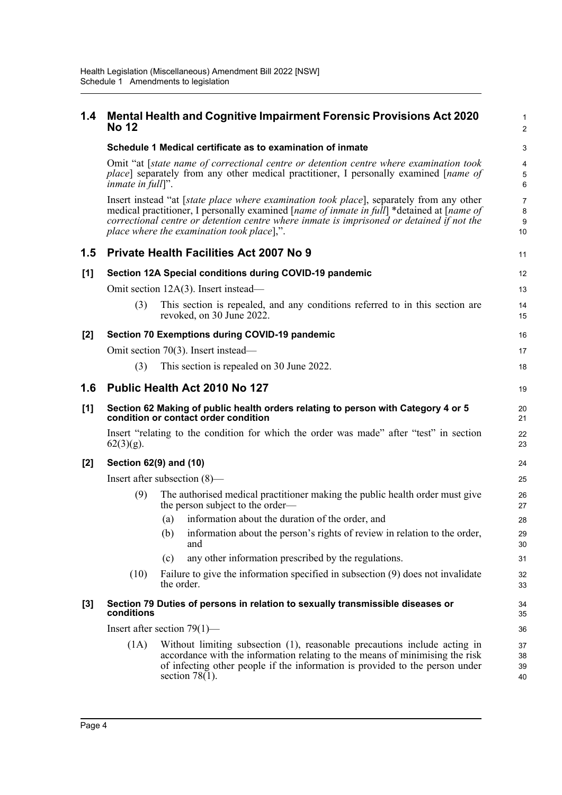| 1.4   | <b>No 12</b>                                                                                            |            | <b>Mental Health and Cognitive Impairment Forensic Provisions Act 2020</b>                                                                                                                                                                                                                                                                         | 1<br>$\overline{2}$            |
|-------|---------------------------------------------------------------------------------------------------------|------------|----------------------------------------------------------------------------------------------------------------------------------------------------------------------------------------------------------------------------------------------------------------------------------------------------------------------------------------------------|--------------------------------|
|       |                                                                                                         |            | Schedule 1 Medical certificate as to examination of inmate                                                                                                                                                                                                                                                                                         | 3                              |
|       | <i>inmate in full</i> ]".                                                                               |            | Omit "at [state name of correctional centre or detention centre where examination took<br>place] separately from any other medical practitioner, I personally examined [name of                                                                                                                                                                    | 4<br>5<br>6                    |
|       |                                                                                                         |            | Insert instead "at [state place where examination took place], separately from any other<br>medical practitioner, I personally examined [ <i>name of inmate in full</i> ] *detained at [ <i>name of</i><br>correctional centre or detention centre where inmate is imprisoned or detained if not the<br>place where the examination took place],". | $\overline{7}$<br>8<br>9<br>10 |
| 1.5   |                                                                                                         |            | <b>Private Health Facilities Act 2007 No 9</b>                                                                                                                                                                                                                                                                                                     | 11                             |
| [1]   |                                                                                                         |            | Section 12A Special conditions during COVID-19 pandemic                                                                                                                                                                                                                                                                                            | 12                             |
|       |                                                                                                         |            | Omit section 12A(3). Insert instead—                                                                                                                                                                                                                                                                                                               | 13                             |
|       | (3)                                                                                                     |            | This section is repealed, and any conditions referred to in this section are<br>revoked, on 30 June 2022.                                                                                                                                                                                                                                          | 14<br>15                       |
| $[2]$ |                                                                                                         |            | Section 70 Exemptions during COVID-19 pandemic                                                                                                                                                                                                                                                                                                     | 16                             |
|       |                                                                                                         |            | Omit section 70(3). Insert instead—                                                                                                                                                                                                                                                                                                                | 17                             |
|       | (3)                                                                                                     |            | This section is repealed on 30 June 2022.                                                                                                                                                                                                                                                                                                          | 18                             |
| 1.6   |                                                                                                         |            | Public Health Act 2010 No 127                                                                                                                                                                                                                                                                                                                      | 19                             |
| [1]   |                                                                                                         |            | Section 62 Making of public health orders relating to person with Category 4 or 5<br>condition or contact order condition                                                                                                                                                                                                                          | 20<br>21                       |
|       | Insert "relating to the condition for which the order was made" after "test" in section<br>$62(3)(g)$ . |            |                                                                                                                                                                                                                                                                                                                                                    | 22<br>23                       |
| $[2]$ | Section 62(9) and (10)                                                                                  |            |                                                                                                                                                                                                                                                                                                                                                    | 24                             |
|       | Insert after subsection $(8)$ —                                                                         |            |                                                                                                                                                                                                                                                                                                                                                    |                                |
|       | (9)                                                                                                     |            | The authorised medical practitioner making the public health order must give<br>the person subject to the order—                                                                                                                                                                                                                                   | 26<br>27                       |
|       |                                                                                                         | (a)        | information about the duration of the order, and                                                                                                                                                                                                                                                                                                   | 28                             |
|       |                                                                                                         | (b)        | information about the person's rights of review in relation to the order,<br>and                                                                                                                                                                                                                                                                   | 29<br>30                       |
|       |                                                                                                         | (c)        | any other information prescribed by the regulations.                                                                                                                                                                                                                                                                                               | 31                             |
|       | (10)                                                                                                    | the order. | Failure to give the information specified in subsection (9) does not invalidate                                                                                                                                                                                                                                                                    | 32<br>33                       |
| $[3]$ | conditions                                                                                              |            | Section 79 Duties of persons in relation to sexually transmissible diseases or                                                                                                                                                                                                                                                                     | 34<br>35                       |
|       | Insert after section $79(1)$ —                                                                          |            |                                                                                                                                                                                                                                                                                                                                                    |                                |
|       | (1A)                                                                                                    |            | Without limiting subsection (1), reasonable precautions include acting in<br>accordance with the information relating to the means of minimising the risk<br>of infecting other people if the information is provided to the person under<br>section $78(1)$ .                                                                                     | 37<br>38<br>39<br>40           |